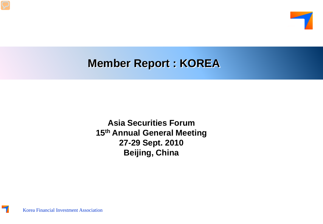

# **Member Report : KOREA**

**Asia Securities Forum 15th Annual General Meeting 27-29 Sept. 2010 Beijing, China**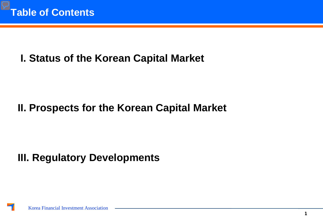# **I. Status of the Korean Capital Market**

## **II. Prospects for the Korean Capital Market**

# **III. Regulatory Developments**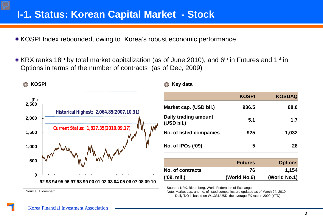#### **I-1. Status: Korean Capital Market - Stock**

KOSPI Index rebounded, owing to Korea's robust economic performance

 $\triangle$  KRX ranks 18<sup>th</sup> by total market capitalization (as of June, 2010), and 6<sup>th</sup> in Futures and 1<sup>st</sup> in Options in terms of the number of contracts (as of Dec, 2009)



Note: Market cap. and no. of listed companies are updated as of March.24, 2010 Daily T/O is based on W1,331/USD, the average FX rate in 2009 (YTD)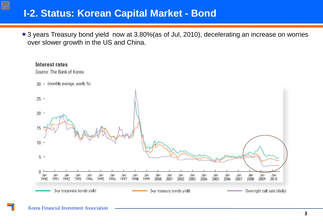### **I-2. Status: Korean Capital Market - Bond**

◆ 3 years Treasury bond yield now at 3.80% (as of Jul, 2010), decelerating an increase on worries over slower growth in the US and China.

#### Interest rates

Source: The Bank of Korea

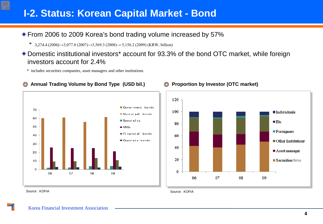## **I-2. Status: Korean Capital Market - Bond**

#### ◆ From 2006 to 2009 Korea's bond trading volume increased by 57%

\* 3,274.4 (2006) $\rightarrow$ 3,077.8 (2007) $\rightarrow$ 3,569.3 (2008) $\rightarrow$  5,156.2 (2009) (KRW, billion)

Domestic institutional investors\* account for 93.3% of the bond OTC market, while foreign investors account for 2.4%

\* includes securities companies, asset managers and other institutions



#### **Annual Trading Volume by Bond Type (USD bil.) Proportion by Investor (OTC market)**  $\bigcirc$



Source : KOFIA

Source : KOFIA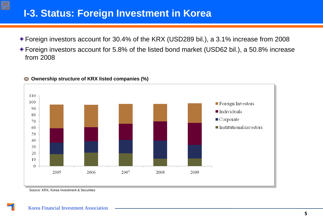## **I-3. Status: Foreign Investment in Korea**

- Foreign investors account for 30.4% of the KRX (USD289 bil.), a 3.1% increase from 2008
- Foreign investors account for 5.8% of the listed bond market (USD62 bil.), a 50.8% increase from 2008



#### **Ownership structure of KRX listed companies (%)**

Source: KRX, Korea Investment & Securities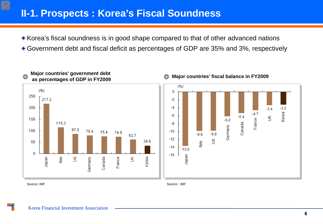### **II-1. Prospects : Korea's Fiscal Soundness**

Korea's fiscal soundness is in good shape compared to that of other advanced nations Government debt and fiscal deficit as percentages of GDP are 35% and 3%, respectively



Source: IMF Source: IMF Source: IMF Source: IMF Source: IMF Source: IMF Source: IMF Source: IMF Source: IMF Source: IMF Source: IMF Source: IMF Source: IMF Source: IMF Source: IMF Source: IMF Source: IMF Source: IMF Source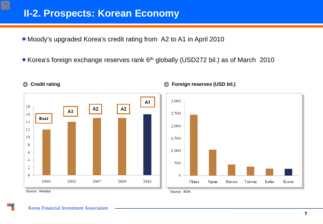### **II-2. Prospects: Korean Economy**

Moody's upgraded Korea's credit rating from A2 to A1 in April 2010

Korea's foreign exchange reserves rank 6th globally (USD272 bil.) as of March 2010



#### **Credit rating Foreign reserves (USD bil.)**

 $\bigcirc$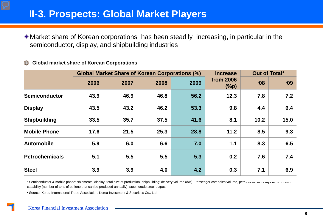## **II-3. Prospects: Global Market Players**

Market share of Korean corporations has been steadily increasing, in particular in the semiconductor, display, and shipbuilding industries

#### **Global market share of Korean Corporations**   $\bigcirc$

|                       | <b>Global Market Share of Korean Corporations (%)</b> |      |      |      | <b>Increase</b>      | Out of Total*   |            |
|-----------------------|-------------------------------------------------------|------|------|------|----------------------|-----------------|------------|
|                       | 2006                                                  | 2007 | 2008 | 2009 | from 2006<br>$(\%p)$ | 60 <sup>°</sup> | <b>'09</b> |
| <b>Semiconductor</b>  | 43.9                                                  | 46.9 | 46.8 | 56.2 | 12.3                 | 7.8             | 7.2        |
| <b>Display</b>        | 43.5                                                  | 43.2 | 46.2 | 53.3 | 9.8                  | 4.4             | 6.4        |
| <b>Shipbuilding</b>   | 33.5                                                  | 35.7 | 37.5 | 41.6 | 8.1                  | 10.2            | 15.0       |
| <b>Mobile Phone</b>   | 17.6                                                  | 21.5 | 25.3 | 28.8 | 11.2                 | 8.5             | 9.3        |
| <b>Automobile</b>     | 5.9                                                   | 6.0  | 6.6  | 7.0  | 1.1                  | 8.3             | 6.5        |
| <b>Petrochemicals</b> | 5.1                                                   | 5.5  | 5.5  | 5.3  | 0.2                  | 7.6             | 7.4        |
| <b>Steel</b>          | 3.9                                                   | 3.9  | 4.0  | 4.2  | 0.3                  | 7.1             | 6.9        |

· Semiconductor & mobile phone: shipments, display: total size of production, shipbuilding: delivery volume (dwt), Passenger car: sales volume, petrochemicals. ethylene production capability (number of tons of ethlene that can be produced annually), steel: crude steel output,

• Source: Korea International Trade Association, Korea Investment & Securities Co., Ltd.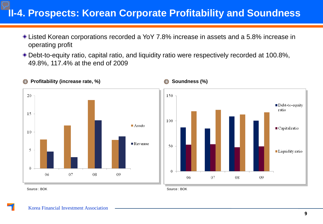## **II-4. Prospects: Korean Corporate Profitability and Soundness**

- Listed Korean corporations recorded a YoY 7.8% increase in assets and a 5.8% increase in operating profit
- Debt-to-equity ratio, capital ratio, and liquidity ratio were respectively recorded at 100.8%, 49.8%, 117.4% at the end of 2009



Source : BOK Source : BOK Source : BOK Source : BOK Source : BOK Source : BOK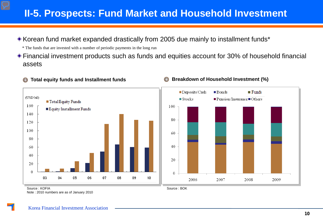## **II-5. Prospects: Fund Market and Household Investment**

Korean fund market expanded drastically from 2005 due mainly to installment funds\*

\* The funds that are invested with a number of periodic payments in the long run

Financial investment products such as funds and equities account for 30% of household financial assets

#### $\bigcirc$



#### **Total equity funds and Installment funds Breakdown of Household Investment (%)**



Source : BOK

Source : KOFIA Note : 2010 numbers are as of January 2010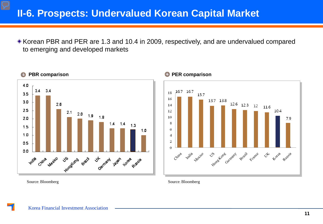### **II-6. Prospects: Undervalued Korean Capital Market**

Korean PBR and PER are 1.3 and 10.4 in 2009, respectively, and are undervalued compared to emerging and developed markets





Source: Bloomberg

Source: Bloomberg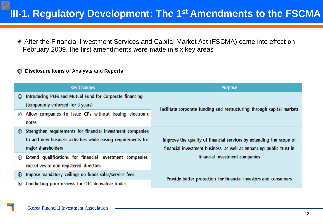## **III-1. Regulatory Development: The 1st Amendments to the FSCMA**

After the Financial Investment Services and Capital Market Act (FSCMA) came into effect on February 2009, the first amendments were made in six key areas

#### **Disclosure Items of Analysts and Reports** $\bigcirc$

|                                | <b>Key Changes</b>                                           | <b>Purpose</b>                                                         |  |
|--------------------------------|--------------------------------------------------------------|------------------------------------------------------------------------|--|
| $\textcircled{\scriptsize{0}}$ | Introducing PEFs and Mutual Fund for Corporate financing     |                                                                        |  |
|                                | (temporarily enforced for 3 years)                           | Facilitate corporate funding and restructuring through capital markets |  |
| Ø                              | Allow companies to issue CPs without issuing electronic      |                                                                        |  |
|                                | notes                                                        |                                                                        |  |
| $\odot$                        | Strengthen requirements for financial investment companies   |                                                                        |  |
|                                | to add new business activities while easing requirements for | Improve the quality of financial services by extending the scope of    |  |
|                                | major shareholders                                           | financial investment business, as well as enhancing public trust in    |  |
| ◉                              | Extend qualifications for financial investment companies'    | financial investment companies                                         |  |
|                                | executives to non-registered directors                       |                                                                        |  |
| $\odot$                        | Impose mandatory ceilings on funds sales/service fees        | Provide better protection for financial investors and consumers        |  |
| $\circledcirc$                 | Conducting prior reviews for OTC derivative trades           |                                                                        |  |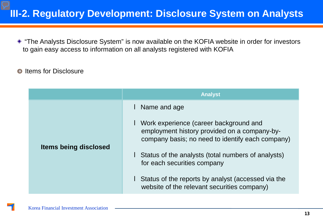## **III-2. Regulatory Development: Disclosure System on Analysts**

"The Analysts Disclosure System" is now available on the KOFIA website in order for investors to gain easy access to information on all analysts registered with KOFIA

#### Items for Disclosure  $\bigcirc$

|                              | <b>Analyst</b>                                                                                                                                                                                                                                        |
|------------------------------|-------------------------------------------------------------------------------------------------------------------------------------------------------------------------------------------------------------------------------------------------------|
| <b>Items being disclosed</b> | I Name and age<br>■ Work experience (career background and<br>employment history provided on a company-by-<br>company basis; no need to identify each company)<br>I Status of the analysts (total numbers of analysts)<br>for each securities company |
|                              | <b>Status of the reports by analyst (accessed via the</b><br>website of the relevant securities company)                                                                                                                                              |